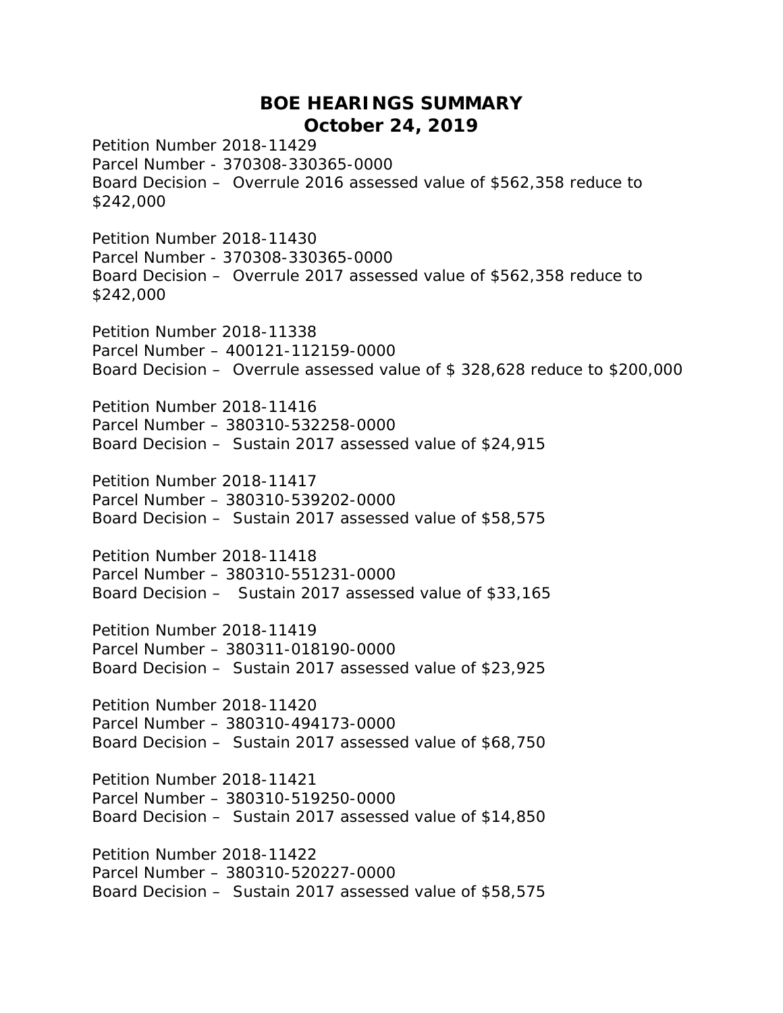## **BOE HEARINGS SUMMARY October 24, 2019**

Petition Number 2018-11429 Parcel Number - 370308-330365-0000 Board Decision – Overrule 2016 assessed value of \$562,358 reduce to \$242,000

Petition Number 2018-11430 Parcel Number - 370308-330365-0000 Board Decision – Overrule 2017 assessed value of \$562,358 reduce to \$242,000

Petition Number 2018-11338 Parcel Number – 400121-112159-0000 Board Decision – Overrule assessed value of \$ 328,628 reduce to \$200,000

Petition Number 2018-11416 Parcel Number – 380310-532258-0000 Board Decision – Sustain 2017 assessed value of \$24,915

Petition Number 2018-11417 Parcel Number – 380310-539202-0000 Board Decision – Sustain 2017 assessed value of \$58,575

Petition Number 2018-11418 Parcel Number – 380310-551231-0000 Board Decision – Sustain 2017 assessed value of \$33,165

Petition Number 2018-11419 Parcel Number – 380311-018190-0000 Board Decision – Sustain 2017 assessed value of \$23,925

Petition Number 2018-11420 Parcel Number – 380310-494173-0000 Board Decision – Sustain 2017 assessed value of \$68,750

Petition Number 2018-11421 Parcel Number – 380310-519250-0000 Board Decision – Sustain 2017 assessed value of \$14,850

Petition Number 2018-11422 Parcel Number – 380310-520227-0000 Board Decision – Sustain 2017 assessed value of \$58,575